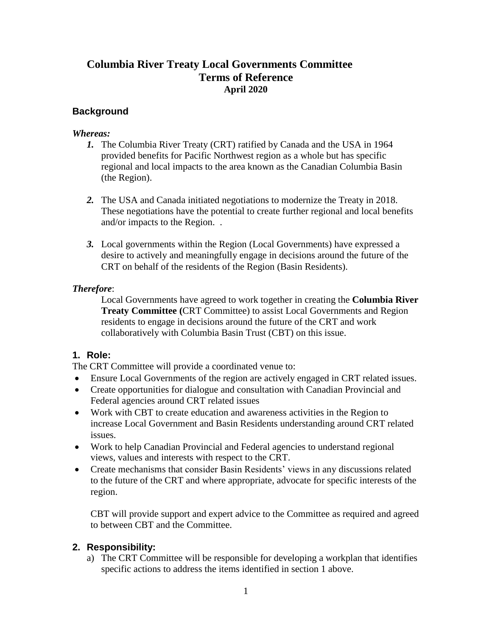## **Columbia River Treaty Local Governments Committee Terms of Reference April 2020**

#### **Background**

#### *Whereas:*

- *1.* The Columbia River Treaty (CRT) ratified by Canada and the USA in 1964 provided benefits for Pacific Northwest region as a whole but has specific regional and local impacts to the area known as the Canadian Columbia Basin (the Region).
- *2.* The USA and Canada initiated negotiations to modernize the Treaty in 2018. These negotiations have the potential to create further regional and local benefits and/or impacts to the Region. .
- *3.* Local governments within the Region (Local Governments) have expressed a desire to actively and meaningfully engage in decisions around the future of the CRT on behalf of the residents of the Region (Basin Residents).

#### *Therefore*:

Local Governments have agreed to work together in creating the **Columbia River Treaty Committee (**CRT Committee) to assist Local Governments and Region residents to engage in decisions around the future of the CRT and work collaboratively with Columbia Basin Trust (CBT) on this issue.

#### **1. Role:**

The CRT Committee will provide a coordinated venue to:

- Ensure Local Governments of the region are actively engaged in CRT related issues.
- Create opportunities for dialogue and consultation with Canadian Provincial and Federal agencies around CRT related issues
- Work with CBT to create education and awareness activities in the Region to increase Local Government and Basin Residents understanding around CRT related issues.
- Work to help Canadian Provincial and Federal agencies to understand regional views, values and interests with respect to the CRT.
- Create mechanisms that consider Basin Residents' views in any discussions related to the future of the CRT and where appropriate, advocate for specific interests of the region.

CBT will provide support and expert advice to the Committee as required and agreed to between CBT and the Committee.

## **2. Responsibility:**

a) The CRT Committee will be responsible for developing a workplan that identifies specific actions to address the items identified in section 1 above.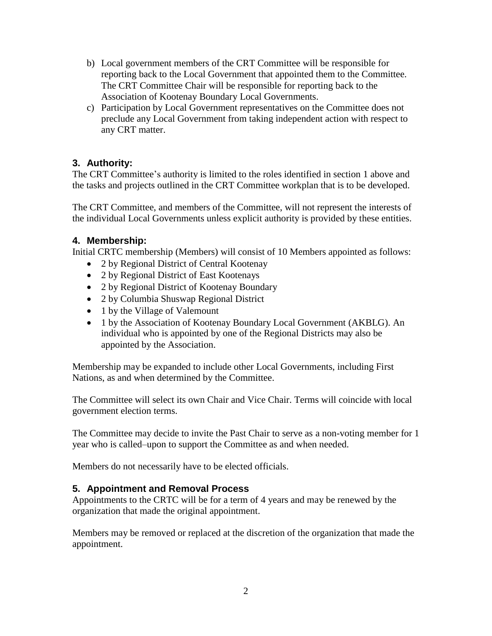- b) Local government members of the CRT Committee will be responsible for reporting back to the Local Government that appointed them to the Committee. The CRT Committee Chair will be responsible for reporting back to the Association of Kootenay Boundary Local Governments.
- c) Participation by Local Government representatives on the Committee does not preclude any Local Government from taking independent action with respect to any CRT matter.

## **3. Authority:**

The CRT Committee's authority is limited to the roles identified in section 1 above and the tasks and projects outlined in the CRT Committee workplan that is to be developed.

The CRT Committee, and members of the Committee, will not represent the interests of the individual Local Governments unless explicit authority is provided by these entities.

#### **4. Membership:**

Initial CRTC membership (Members) will consist of 10 Members appointed as follows:

- 2 by Regional District of Central Kootenay
- 2 by Regional District of East Kootenays
- 2 by Regional District of Kootenay Boundary
- 2 by Columbia Shuswap Regional District
- 1 by the Village of Valemount
- 1 by the Association of Kootenay Boundary Local Government (AKBLG). An individual who is appointed by one of the Regional Districts may also be appointed by the Association.

Membership may be expanded to include other Local Governments, including First Nations, as and when determined by the Committee.

The Committee will select its own Chair and Vice Chair. Terms will coincide with local government election terms.

The Committee may decide to invite the Past Chair to serve as a non-voting member for 1 year who is called–upon to support the Committee as and when needed.

Members do not necessarily have to be elected officials.

## **5. Appointment and Removal Process**

Appointments to the CRTC will be for a term of 4 years and may be renewed by the organization that made the original appointment.

Members may be removed or replaced at the discretion of the organization that made the appointment.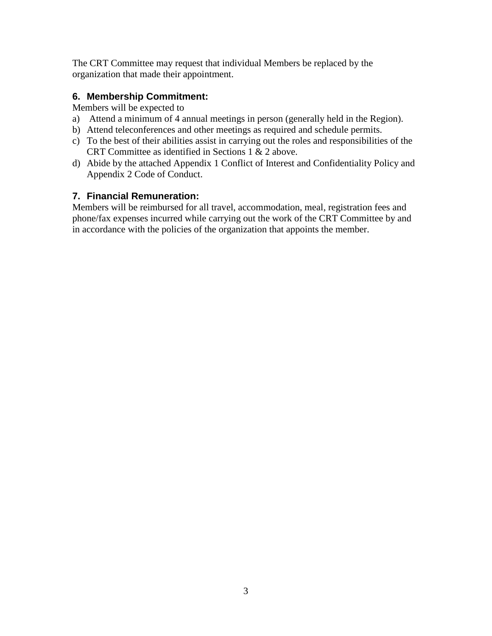The CRT Committee may request that individual Members be replaced by the organization that made their appointment.

#### **6. Membership Commitment:**

Members will be expected to

- a) Attend a minimum of 4 annual meetings in person (generally held in the Region).
- b) Attend teleconferences and other meetings as required and schedule permits.
- c) To the best of their abilities assist in carrying out the roles and responsibilities of the CRT Committee as identified in Sections 1 & 2 above.
- d) Abide by the attached Appendix 1 Conflict of Interest and Confidentiality Policy and Appendix 2 Code of Conduct.

#### **7. Financial Remuneration:**

Members will be reimbursed for all travel, accommodation, meal, registration fees and phone/fax expenses incurred while carrying out the work of the CRT Committee by and in accordance with the policies of the organization that appoints the member.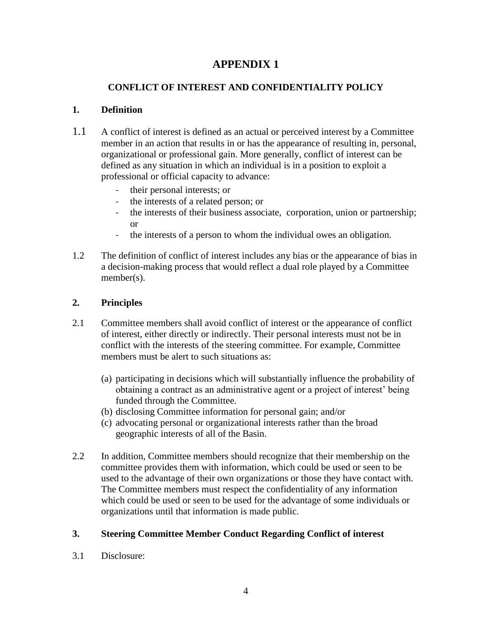# **APPENDIX 1**

## **CONFLICT OF INTEREST AND CONFIDENTIALITY POLICY**

#### **1. Definition**

- 1.1 A conflict of interest is defined as an actual or perceived interest by a Committee member in an action that results in or has the appearance of resulting in, personal, organizational or professional gain. More generally, conflict of interest can be defined as any situation in which an individual is in a position to exploit a professional or official capacity to advance:
	- their personal interests; or
	- the interests of a related person; or
	- the interests of their business associate, corporation, union or partnership; or
	- the interests of a person to whom the individual owes an obligation.
- 1.2 The definition of conflict of interest includes any bias or the appearance of bias in a decision-making process that would reflect a dual role played by a Committee member(s).

## **2. Principles**

- 2.1 Committee members shall avoid conflict of interest or the appearance of conflict of interest, either directly or indirectly. Their personal interests must not be in conflict with the interests of the steering committee. For example, Committee members must be alert to such situations as:
	- (a) participating in decisions which will substantially influence the probability of obtaining a contract as an administrative agent or a project of interest' being funded through the Committee.
	- (b) disclosing Committee information for personal gain; and/or
	- (c) advocating personal or organizational interests rather than the broad geographic interests of all of the Basin.
- 2.2 In addition, Committee members should recognize that their membership on the committee provides them with information, which could be used or seen to be used to the advantage of their own organizations or those they have contact with. The Committee members must respect the confidentiality of any information which could be used or seen to be used for the advantage of some individuals or organizations until that information is made public.

## **3. Steering Committee Member Conduct Regarding Conflict of interest**

3.1 Disclosure: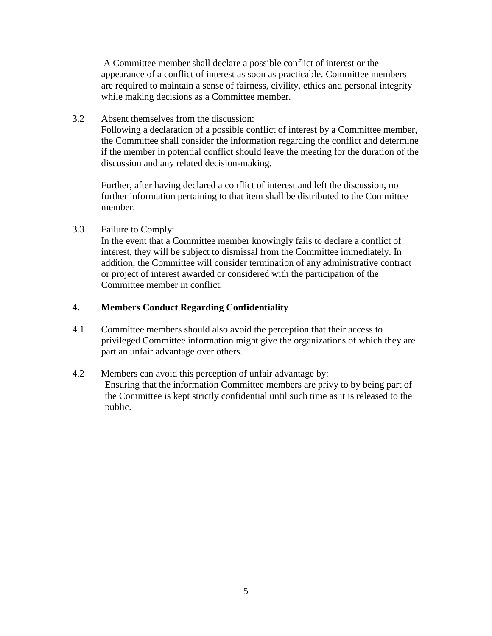A Committee member shall declare a possible conflict of interest or the appearance of a conflict of interest as soon as practicable. Committee members are required to maintain a sense of fairness, civility, ethics and personal integrity while making decisions as a Committee member.

3.2 Absent themselves from the discussion:

Following a declaration of a possible conflict of interest by a Committee member, the Committee shall consider the information regarding the conflict and determine if the member in potential conflict should leave the meeting for the duration of the discussion and any related decision-making.

Further, after having declared a conflict of interest and left the discussion, no further information pertaining to that item shall be distributed to the Committee member.

3.3 Failure to Comply:

In the event that a Committee member knowingly fails to declare a conflict of interest, they will be subject to dismissal from the Committee immediately. In addition, the Committee will consider termination of any administrative contract or project of interest awarded or considered with the participation of the Committee member in conflict.

#### **4. Members Conduct Regarding Confidentiality**

- 4.1 Committee members should also avoid the perception that their access to privileged Committee information might give the organizations of which they are part an unfair advantage over others.
- 4.2 Members can avoid this perception of unfair advantage by: Ensuring that the information Committee members are privy to by being part of the Committee is kept strictly confidential until such time as it is released to the public.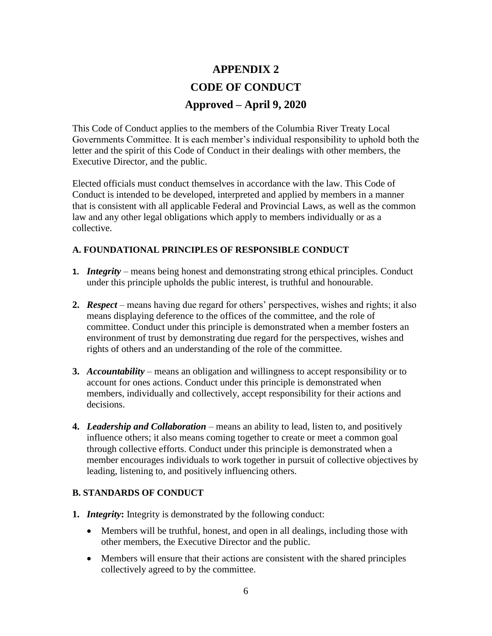# **APPENDIX 2 CODE OF CONDUCT Approved – April 9, 2020**

This Code of Conduct applies to the members of the Columbia River Treaty Local Governments Committee. It is each member's individual responsibility to uphold both the letter and the spirit of this Code of Conduct in their dealings with other members, the Executive Director, and the public.

Elected officials must conduct themselves in accordance with the law. This Code of Conduct is intended to be developed, interpreted and applied by members in a manner that is consistent with all applicable Federal and Provincial Laws, as well as the common law and any other legal obligations which apply to members individually or as a collective.

#### **A. FOUNDATIONAL PRINCIPLES OF RESPONSIBLE CONDUCT**

- **1.** *Integrity*  means being honest and demonstrating strong ethical principles. Conduct under this principle upholds the public interest, is truthful and honourable.
- **2.** *Respect –* means having due regard for others' perspectives, wishes and rights; it also means displaying deference to the offices of the committee, and the role of committee. Conduct under this principle is demonstrated when a member fosters an environment of trust by demonstrating due regard for the perspectives, wishes and rights of others and an understanding of the role of the committee.
- **3.** *Accountability –* means an obligation and willingness to accept responsibility or to account for ones actions. Conduct under this principle is demonstrated when members, individually and collectively, accept responsibility for their actions and decisions.
- **4.** *Leadership and Collaboration –* means an ability to lead, listen to, and positively influence others; it also means coming together to create or meet a common goal through collective efforts. Conduct under this principle is demonstrated when a member encourages individuals to work together in pursuit of collective objectives by leading, listening to, and positively influencing others.

#### **B. STANDARDS OF CONDUCT**

- **1.** *Integrity***:** Integrity is demonstrated by the following conduct:
	- Members will be truthful, honest, and open in all dealings, including those with other members, the Executive Director and the public.
	- Members will ensure that their actions are consistent with the shared principles collectively agreed to by the committee.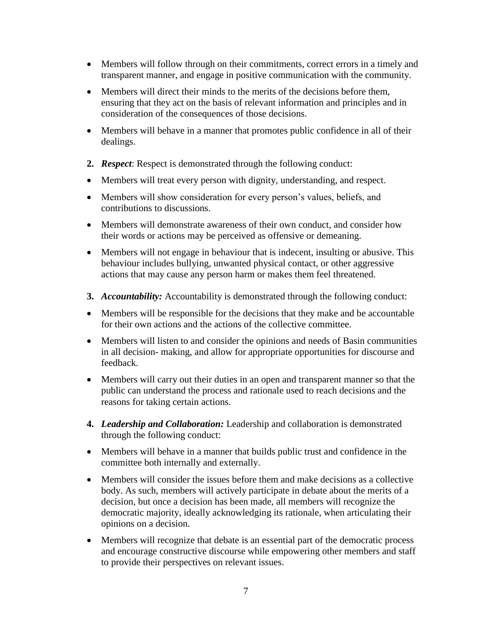- Members will follow through on their commitments, correct errors in a timely and transparent manner, and engage in positive communication with the community.
- Members will direct their minds to the merits of the decisions before them, ensuring that they act on the basis of relevant information and principles and in consideration of the consequences of those decisions.
- Members will behave in a manner that promotes public confidence in all of their dealings.
- **2.** *Respect*: Respect is demonstrated through the following conduct:
- Members will treat every person with dignity, understanding, and respect.
- Members will show consideration for every person's values, beliefs, and contributions to discussions.
- Members will demonstrate awareness of their own conduct, and consider how their words or actions may be perceived as offensive or demeaning.
- Members will not engage in behaviour that is indecent, insulting or abusive. This behaviour includes bullying, unwanted physical contact, or other aggressive actions that may cause any person harm or makes them feel threatened.
- **3.** *Accountability:* Accountability is demonstrated through the following conduct:
- Members will be responsible for the decisions that they make and be accountable for their own actions and the actions of the collective committee.
- Members will listen to and consider the opinions and needs of Basin communities in all decision- making, and allow for appropriate opportunities for discourse and feedback.
- Members will carry out their duties in an open and transparent manner so that the public can understand the process and rationale used to reach decisions and the reasons for taking certain actions.
- **4.** *Leadership and Collaboration:* Leadership and collaboration is demonstrated through the following conduct:
- Members will behave in a manner that builds public trust and confidence in the committee both internally and externally.
- Members will consider the issues before them and make decisions as a collective body. As such, members will actively participate in debate about the merits of a decision, but once a decision has been made, all members will recognize the democratic majority, ideally acknowledging its rationale, when articulating their opinions on a decision.
- Members will recognize that debate is an essential part of the democratic process and encourage constructive discourse while empowering other members and staff to provide their perspectives on relevant issues.